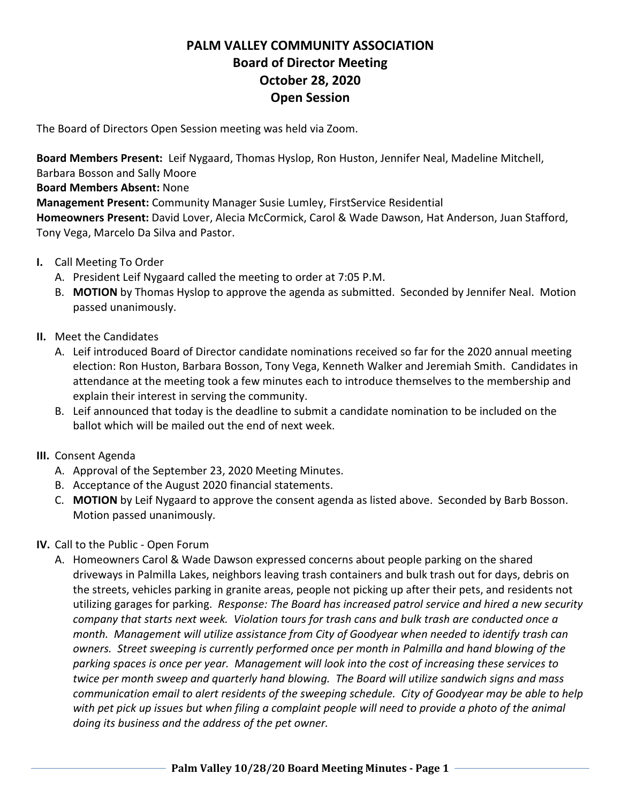# **PALM VALLEY COMMUNITY ASSOCIATION Board of Director Meeting October 28, 2020 Open Session**

The Board of Directors Open Session meeting was held via Zoom.

**Board Members Present:** Leif Nygaard, Thomas Hyslop, Ron Huston, Jennifer Neal, Madeline Mitchell,

Barbara Bosson and Sally Moore

**Board Members Absent:** None

**Management Present:** Community Manager Susie Lumley, FirstService Residential

**Homeowners Present:** David Lover, Alecia McCormick, Carol & Wade Dawson, Hat Anderson, Juan Stafford, Tony Vega, Marcelo Da Silva and Pastor.

- **I.** Call Meeting To Order
	- A. President Leif Nygaard called the meeting to order at 7:05 P.M.
	- B. **MOTION** by Thomas Hyslop to approve the agenda as submitted. Seconded by Jennifer Neal. Motion passed unanimously.
- **II.** Meet the Candidates
	- A. Leif introduced Board of Director candidate nominations received so far for the 2020 annual meeting election: Ron Huston, Barbara Bosson, Tony Vega, Kenneth Walker and Jeremiah Smith. Candidates in attendance at the meeting took a few minutes each to introduce themselves to the membership and explain their interest in serving the community.
	- B. Leif announced that today is the deadline to submit a candidate nomination to be included on the ballot which will be mailed out the end of next week.
- **III.** Consent Agenda
	- A. Approval of the September 23, 2020 Meeting Minutes.
	- B. Acceptance of the August 2020 financial statements.
	- C. **MOTION** by Leif Nygaard to approve the consent agenda as listed above. Seconded by Barb Bosson. Motion passed unanimously.
- **IV.** Call to the Public Open Forum
	- A. Homeowners Carol & Wade Dawson expressed concerns about people parking on the shared driveways in Palmilla Lakes, neighbors leaving trash containers and bulk trash out for days, debris on the streets, vehicles parking in granite areas, people not picking up after their pets, and residents not utilizing garages for parking. *Response: The Board has increased patrol service and hired a new security company that starts next week. Violation tours for trash cans and bulk trash are conducted once a month. Management will utilize assistance from City of Goodyear when needed to identify trash can owners. Street sweeping is currently performed once per month in Palmilla and hand blowing of the parking spaces is once per year. Management will look into the cost of increasing these services to twice per month sweep and quarterly hand blowing. The Board will utilize sandwich signs and mass communication email to alert residents of the sweeping schedule. City of Goodyear may be able to help with pet pick up issues but when filing a complaint people will need to provide a photo of the animal doing its business and the address of the pet owner.*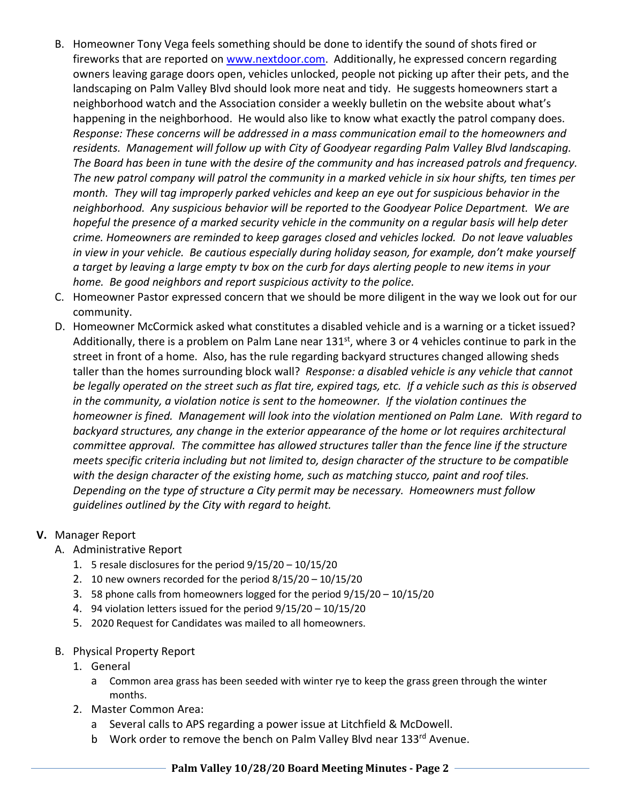- B. Homeowner Tony Vega feels something should be done to identify the sound of shots fired or fireworks that are reported on www.nextdoor.com. Additionally, he expressed concern regarding owners leaving garage doors open, vehicles unlocked, people not picking up after their pets, and the landscaping on Palm Valley Blvd should look more neat and tidy. He suggests homeowners start a neighborhood watch and the Association consider a weekly bulletin on the website about what's happening in the neighborhood. He would also like to know what exactly the patrol company does. *Response: These concerns will be addressed in a mass communication email to the homeowners and residents. Management will follow up with City of Goodyear regarding Palm Valley Blvd landscaping. The Board has been in tune with the desire of the community and has increased patrols and frequency. The new patrol company will patrol the community in a marked vehicle in six hour shifts, ten times per month. They will tag improperly parked vehicles and keep an eye out for suspicious behavior in the neighborhood. Any suspicious behavior will be reported to the Goodyear Police Department. We are hopeful the presence of a marked security vehicle in the community on a regular basis will help deter crime. Homeowners are reminded to keep garages closed and vehicles locked. Do not leave valuables in view in your vehicle. Be cautious especially during holiday season, for example, don't make yourself a target by leaving a large empty tv box on the curb for days alerting people to new items in your home. Be good neighbors and report suspicious activity to the police.*
- C. Homeowner Pastor expressed concern that we should be more diligent in the way we look out for our community.
- D. Homeowner McCormick asked what constitutes a disabled vehicle and is a warning or a ticket issued? Additionally, there is a problem on Palm Lane near 131<sup>st</sup>, where 3 or 4 vehicles continue to park in the street in front of a home. Also, has the rule regarding backyard structures changed allowing sheds taller than the homes surrounding block wall? *Response: a disabled vehicle is any vehicle that cannot be legally operated on the street such as flat tire, expired tags, etc. If a vehicle such as this is observed in the community, a violation notice is sent to the homeowner. If the violation continues the homeowner is fined. Management will look into the violation mentioned on Palm Lane. With regard to backyard structures, any change in the exterior appearance of the home or lot requires architectural committee approval. The committee has allowed structures taller than the fence line if the structure meets specific criteria including but not limited to, design character of the structure to be compatible with the design character of the existing home, such as matching stucco, paint and roof tiles. Depending on the type of structure a City permit may be necessary. Homeowners must follow guidelines outlined by the City with regard to height.*

## **V.** Manager Report

## A. Administrative Report

- 1. 5 resale disclosures for the period 9/15/20 10/15/20
- 2. 10 new owners recorded for the period 8/15/20 10/15/20
- 3. 58 phone calls from homeowners logged for the period 9/15/20 10/15/20
- 4. 94 violation letters issued for the period 9/15/20 10/15/20
- 5. 2020 Request for Candidates was mailed to all homeowners.
- B. Physical Property Report
	- 1. General
		- a Common area grass has been seeded with winter rye to keep the grass green through the winter months.
	- 2. Master Common Area:
		- a Several calls to APS regarding a power issue at Litchfield & McDowell.
		- b Work order to remove the bench on Palm Valley Blvd near 133rd Avenue.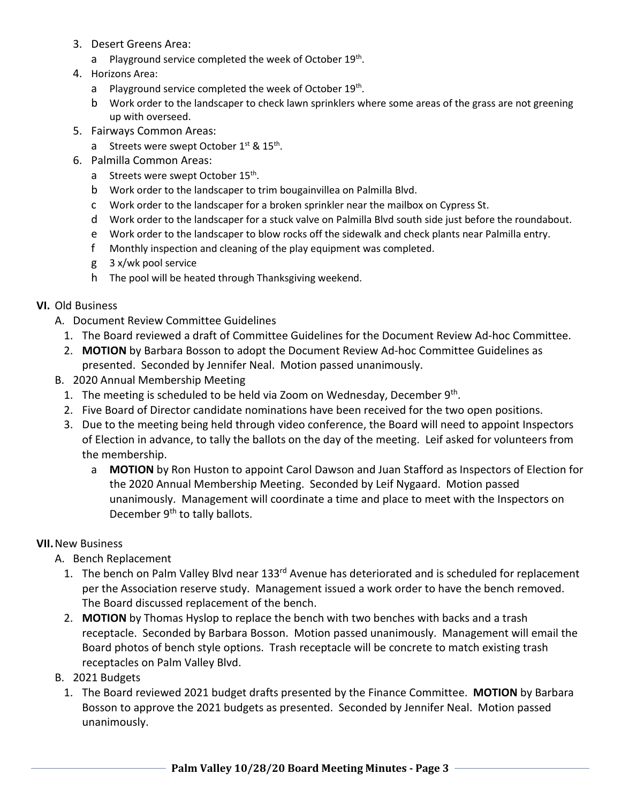- 3. Desert Greens Area:
	- a Playground service completed the week of October 19<sup>th</sup>.
- 4. Horizons Area:
	- a Playground service completed the week of October 19<sup>th</sup>.
	- b Work order to the landscaper to check lawn sprinklers where some areas of the grass are not greening up with overseed.
- 5. Fairways Common Areas:
	- a Streets were swept October  $1^{st}$  &  $15^{th}$ .
- 6. Palmilla Common Areas:
	- a Streets were swept October 15<sup>th</sup>.
	- b Work order to the landscaper to trim bougainvillea on Palmilla Blvd.
	- c Work order to the landscaper for a broken sprinkler near the mailbox on Cypress St.
	- d Work order to the landscaper for a stuck valve on Palmilla Blvd south side just before the roundabout.
	- e Work order to the landscaper to blow rocks off the sidewalk and check plants near Palmilla entry.
	- f Monthly inspection and cleaning of the play equipment was completed.
	- g 3 x/wk pool service
	- h The pool will be heated through Thanksgiving weekend.

## **VI.** Old Business

- A. Document Review Committee Guidelines
	- 1. The Board reviewed a draft of Committee Guidelines for the Document Review Ad-hoc Committee.
	- 2. **MOTION** by Barbara Bosson to adopt the Document Review Ad-hoc Committee Guidelines as presented. Seconded by Jennifer Neal. Motion passed unanimously.
- B. 2020 Annual Membership Meeting
	- 1. The meeting is scheduled to be held via Zoom on Wednesday, December 9<sup>th</sup>.
	- 2. Five Board of Director candidate nominations have been received for the two open positions.
	- 3. Due to the meeting being held through video conference, the Board will need to appoint Inspectors of Election in advance, to tally the ballots on the day of the meeting. Leif asked for volunteers from the membership.
		- a **MOTION** by Ron Huston to appoint Carol Dawson and Juan Stafford as Inspectors of Election for the 2020 Annual Membership Meeting. Seconded by Leif Nygaard. Motion passed unanimously. Management will coordinate a time and place to meet with the Inspectors on December 9<sup>th</sup> to tally ballots.

## **VII.**New Business

- A. Bench Replacement
	- 1. The bench on Palm Valley Blvd near 133<sup>rd</sup> Avenue has deteriorated and is scheduled for replacement per the Association reserve study. Management issued a work order to have the bench removed. The Board discussed replacement of the bench.
	- 2. **MOTION** by Thomas Hyslop to replace the bench with two benches with backs and a trash receptacle. Seconded by Barbara Bosson. Motion passed unanimously. Management will email the Board photos of bench style options. Trash receptacle will be concrete to match existing trash receptacles on Palm Valley Blvd.
- B. 2021 Budgets
	- 1. The Board reviewed 2021 budget drafts presented by the Finance Committee. **MOTION** by Barbara Bosson to approve the 2021 budgets as presented. Seconded by Jennifer Neal. Motion passed unanimously.